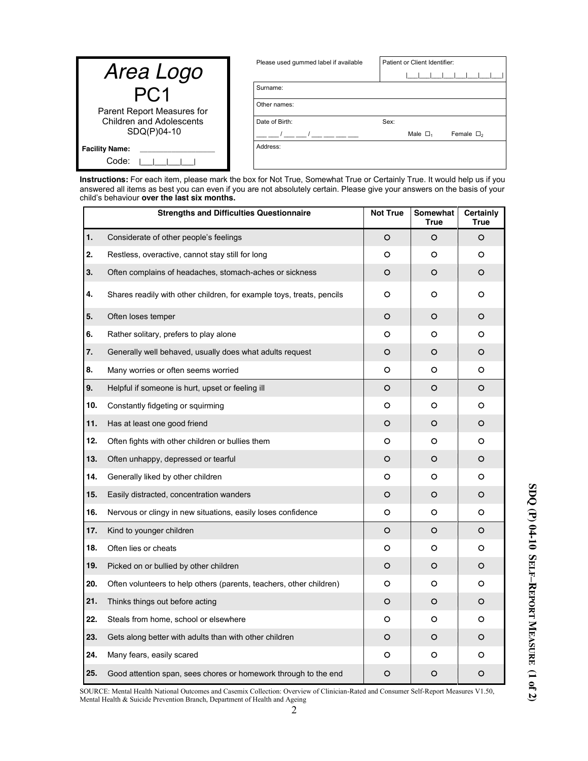| Area Logo                                      | Please used gummed label if available | Patient or Client Identifier:               |
|------------------------------------------------|---------------------------------------|---------------------------------------------|
|                                                | Surname:                              |                                             |
| Parent Report Measures for                     | Other names:                          |                                             |
| <b>Children and Adolescents</b><br>SDQ(P)04-10 | Date of Birth:                        | Sex:                                        |
|                                                |                                       | Male $\Box$ <sub>1</sub><br>Female $\Box_2$ |
| <b>Facility Name:</b><br>Code:                 | Address:                              |                                             |

**Instructions:** For each item, please mark the box for Not True, Somewhat True or Certainly True. It would help us if you answered all items as best you can even if you are not absolutely certain. Please give your answers on the basis of your child"s behaviour **over the last six months.**

|     | <b>Strengths and Difficulties Questionnaire</b>                       | <b>Not True</b> | Somewhat<br><b>True</b> | <b>Certainly</b><br><b>True</b> |
|-----|-----------------------------------------------------------------------|-----------------|-------------------------|---------------------------------|
| 1.  | Considerate of other people's feelings                                | O               | O                       | O                               |
| 2.  | Restless, overactive, cannot stay still for long                      | o               | о                       | O                               |
| 3.  | Often complains of headaches, stomach-aches or sickness               | O               | O                       | O                               |
| 4.  | Shares readily with other children, for example toys, treats, pencils | о               | O                       | о                               |
| 5.  | Often loses temper                                                    | O               | O                       | O                               |
| 6.  | Rather solitary, prefers to play alone                                | O               | O                       | O                               |
| 7.  | Generally well behaved, usually does what adults request              | O               | O                       | O                               |
| 8.  | Many worries or often seems worried                                   | o               | o                       | o                               |
| 9.  | Helpful if someone is hurt, upset or feeling ill                      | O               | O                       | O                               |
| 10. | Constantly fidgeting or squirming                                     | о               | O                       | O                               |
| 11. | Has at least one good friend                                          | O               | O                       | O                               |
| 12. | Often fights with other children or bullies them                      | O               | O                       | O                               |
| 13. | Often unhappy, depressed or tearful                                   | O               | O                       | O                               |
| 14. | Generally liked by other children                                     | o               | o                       | O                               |
| 15. | Easily distracted, concentration wanders                              | o               | O                       | O                               |
| 16. | Nervous or clingy in new situations, easily loses confidence          | O               | o                       | o                               |
| 17. | Kind to younger children                                              | O               | O                       | O                               |
| 18. | Often lies or cheats                                                  | o               | O                       | O                               |
| 19. | Picked on or bullied by other children                                | O               | O                       | O                               |
| 20. | Often volunteers to help others (parents, teachers, other children)   | o               | O                       | o                               |
| 21. | Thinks things out before acting                                       | O               | O                       | O                               |
| 22. | Steals from home, school or elsewhere                                 | O               | O                       | O                               |
| 23. | Gets along better with adults than with other children                | O               | O                       | O                               |
| 24. | Many fears, easily scared                                             | o               | o                       | O                               |
| 25. | Good attention span, sees chores or homework through to the end       | O               | O                       | O                               |

SOURCE: Mental Health National Outcomes and Casemix Collection: Overview of Clinician-Rated and Consumer Self-Report Measures V1.50, Mental Health & Suicide Prevention Branch, Department of Health and Ageing